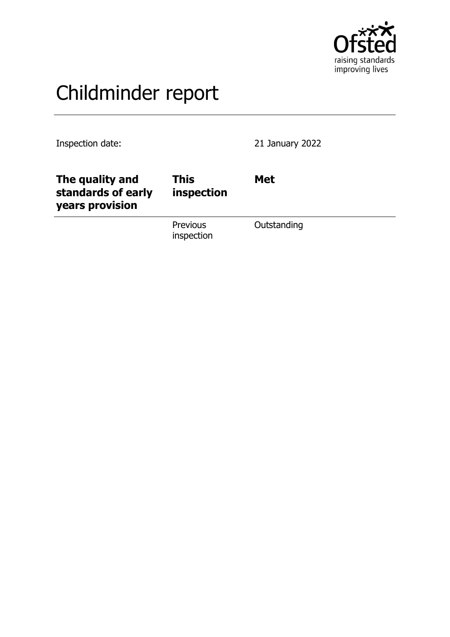

# Childminder report

Inspection date: 21 January 2022

| The quality and<br>standards of early<br>years provision | <b>This</b><br>inspection     | <b>Met</b>  |
|----------------------------------------------------------|-------------------------------|-------------|
|                                                          | <b>Previous</b><br>inspection | Outstanding |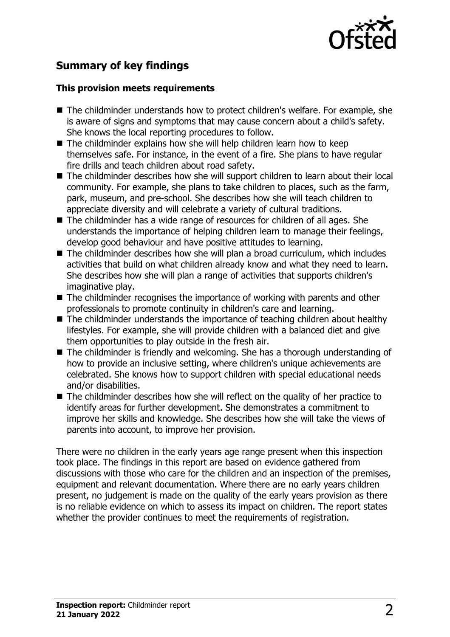

# **Summary of key findings**

#### **This provision meets requirements**

- $\blacksquare$  The childminder understands how to protect children's welfare. For example, she is aware of signs and symptoms that may cause concern about a child's safety. She knows the local reporting procedures to follow.
- $\blacksquare$  The childminder explains how she will help children learn how to keep themselves safe. For instance, in the event of a fire. She plans to have regular fire drills and teach children about road safety.
- $\blacksquare$  The childminder describes how she will support children to learn about their local community. For example, she plans to take children to places, such as the farm, park, museum, and pre-school. She describes how she will teach children to appreciate diversity and will celebrate a variety of cultural traditions.
- $\blacksquare$  The childminder has a wide range of resources for children of all ages. She understands the importance of helping children learn to manage their feelings, develop good behaviour and have positive attitudes to learning.
- $\blacksquare$  The childminder describes how she will plan a broad curriculum, which includes activities that build on what children already know and what they need to learn. She describes how she will plan a range of activities that supports children's imaginative play.
- $\blacksquare$  The childminder recognises the importance of working with parents and other professionals to promote continuity in children's care and learning.
- $\blacksquare$  The childminder understands the importance of teaching children about healthy lifestyles. For example, she will provide children with a balanced diet and give them opportunities to play outside in the fresh air.
- $\blacksquare$  The childminder is friendly and welcoming. She has a thorough understanding of how to provide an inclusive setting, where children's unique achievements are celebrated. She knows how to support children with special educational needs and/or disabilities.
- $\blacksquare$  The childminder describes how she will reflect on the quality of her practice to identify areas for further development. She demonstrates a commitment to improve her skills and knowledge. She describes how she will take the views of parents into account, to improve her provision.

There were no children in the early years age range present when this inspection took place. The findings in this report are based on evidence gathered from discussions with those who care for the children and an inspection of the premises, equipment and relevant documentation. Where there are no early years children present, no judgement is made on the quality of the early years provision as there is no reliable evidence on which to assess its impact on children. The report states whether the provider continues to meet the requirements of registration.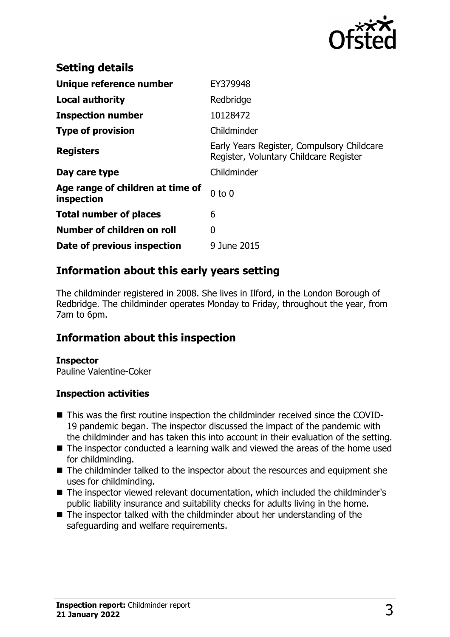

| <b>Setting details</b>                         |                                                                                      |
|------------------------------------------------|--------------------------------------------------------------------------------------|
| Unique reference number                        | EY379948                                                                             |
| <b>Local authority</b>                         | Redbridge                                                                            |
| <b>Inspection number</b>                       | 10128472                                                                             |
| <b>Type of provision</b>                       | Childminder                                                                          |
| <b>Registers</b>                               | Early Years Register, Compulsory Childcare<br>Register, Voluntary Childcare Register |
| Day care type                                  | Childminder                                                                          |
| Age range of children at time of<br>inspection | $0$ to $0$                                                                           |
| <b>Total number of places</b>                  | 6                                                                                    |
| Number of children on roll                     | 0                                                                                    |
| Date of previous inspection                    | 9 June 2015                                                                          |

## **Information about this early years setting**

The childminder registered in 2008. She lives in Ilford, in the London Borough of Redbridge. The childminder operates Monday to Friday, throughout the year, from 7am to 6pm.

## **Information about this inspection**

#### **Inspector**

Pauline Valentine-Coker

#### **Inspection activities**

- This was the first routine inspection the childminder received since the COVID-19 pandemic began. The inspector discussed the impact of the pandemic with the childminder and has taken this into account in their evaluation of the setting.
- $\blacksquare$  The inspector conducted a learning walk and viewed the areas of the home used for childminding.
- The childminder talked to the inspector about the resources and equipment she uses for childminding.
- The inspector viewed relevant documentation, which included the childminder's public liability insurance and suitability checks for adults living in the home.
- $\blacksquare$  The inspector talked with the childminder about her understanding of the safeguarding and welfare requirements.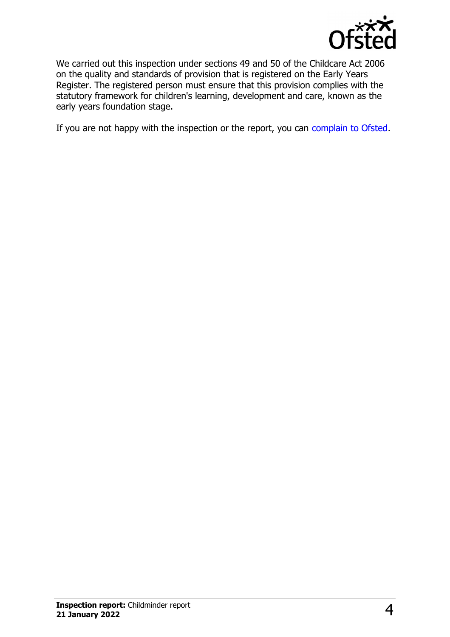

We carried out this inspection under sections 49 and 50 of the Childcare Act 2006 on the quality and standards of provision that is registered on the Early Years Register. The registered person must ensure that this provision complies with the statutory framework for children's learning, development and care, known as the early years foundation stage.

If you are not happy with the inspection or the report, you can [complain to Ofsted](http://www.gov.uk/complain-ofsted-report).